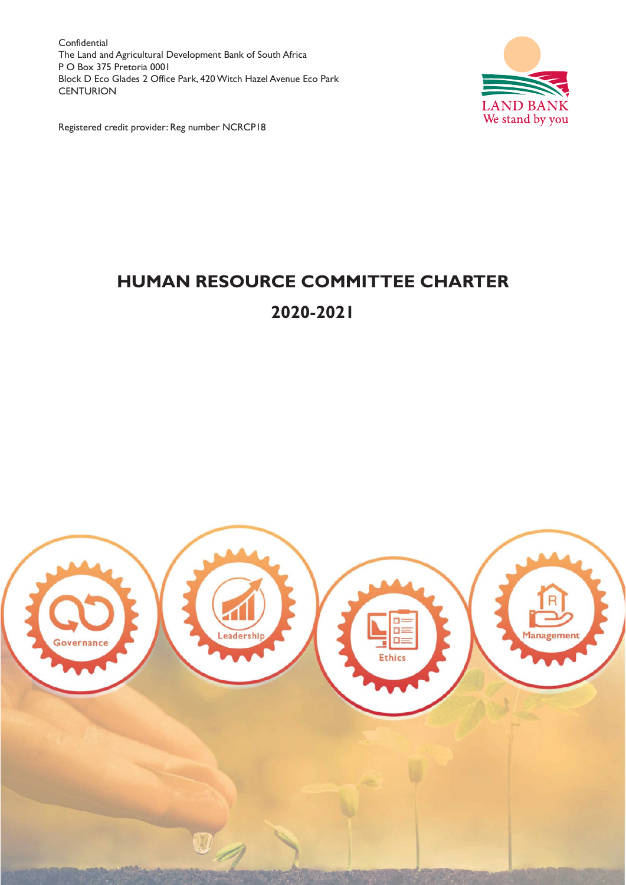Confidential The Land and Agricultural Development Bank of South Africa P O Box 375 Pretoria 0001 Block D Eco Glades 2 Office Park, 420 Witch Hazel Avenue Eco Park **CENTURION** 



Registered credit provider: Reg number NCRCP18

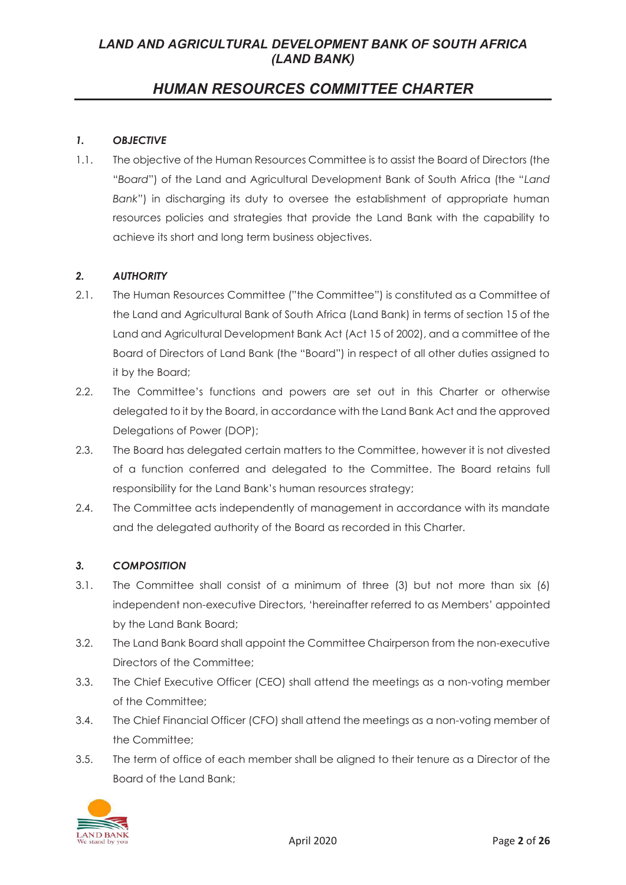# *HUMAN RESOURCES COMMITTEE CHARTER*

### *1. OBJECTIVE*

1.1. The objective of the Human Resources Committee is to assist the Board of Directors (the "*Board*") of the Land and Agricultural Development Bank of South Africa (the "*Land Bank*") in discharging its duty to oversee the establishment of appropriate human resources policies and strategies that provide the Land Bank with the capability to achieve its short and long term business objectives.

#### *2. AUTHORITY*

- 2.1. The Human Resources Committee ("the Committee") is constituted as a Committee of the Land and Agricultural Bank of South Africa (Land Bank) in terms of section 15 of the Land and Agricultural Development Bank Act (Act 15 of 2002), and a committee of the Board of Directors of Land Bank (the "Board") in respect of all other duties assigned to it by the Board;
- 2.2. The Committee's functions and powers are set out in this Charter or otherwise delegated to it by the Board, in accordance with the Land Bank Act and the approved Delegations of Power (DOP);
- 2.3. The Board has delegated certain matters to the Committee, however it is not divested of a function conferred and delegated to the Committee. The Board retains full responsibility for the Land Bank's human resources strategy;
- 2.4. The Committee acts independently of management in accordance with its mandate and the delegated authority of the Board as recorded in this Charter.

#### *3. COMPOSITION*

- 3.1. The Committee shall consist of a minimum of three (3) but not more than six (6) independent non-executive Directors, 'hereinafter referred to as Members' appointed by the Land Bank Board;
- 3.2. The Land Bank Board shall appoint the Committee Chairperson from the non-executive Directors of the Committee;
- 3.3. The Chief Executive Officer (CEO) shall attend the meetings as a non-voting member of the Committee;
- 3.4. The Chief Financial Officer (CFO) shall attend the meetings as a non-voting member of the Committee;
- 3.5. The term of office of each member shall be aligned to their tenure as a Director of the Board of the Land Bank;

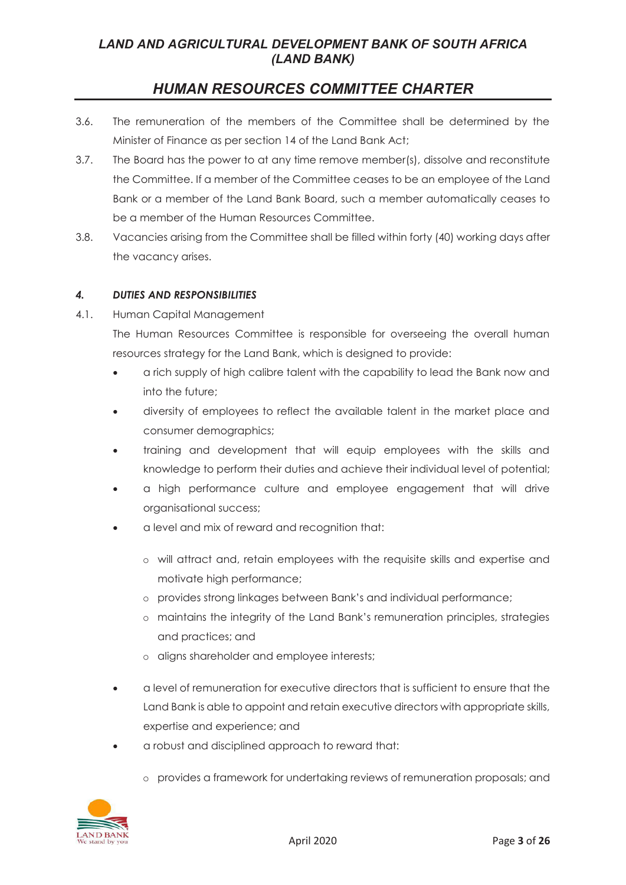# *HUMAN RESOURCES COMMITTEE CHARTER*

- 3.6. The remuneration of the members of the Committee shall be determined by the Minister of Finance as per section 14 of the Land Bank Act;
- 3.7. The Board has the power to at any time remove member(s), dissolve and reconstitute the Committee. If a member of the Committee ceases to be an employee of the Land Bank or a member of the Land Bank Board, such a member automatically ceases to be a member of the Human Resources Committee.
- 3.8. Vacancies arising from the Committee shall be filled within forty (40) working days after the vacancy arises.

### *4. DUTIES AND RESPONSIBILITIES*

4.1. Human Capital Management

The Human Resources Committee is responsible for overseeing the overall human resources strategy for the Land Bank, which is designed to provide:

- a rich supply of high calibre talent with the capability to lead the Bank now and into the future;
- diversity of employees to reflect the available talent in the market place and consumer demographics;
- training and development that will equip employees with the skills and knowledge to perform their duties and achieve their individual level of potential;
- a high performance culture and employee engagement that will drive organisational success;
- a level and mix of reward and recognition that:
	- o will attract and, retain employees with the requisite skills and expertise and motivate high performance;
	- o provides strong linkages between Bank's and individual performance;
	- o maintains the integrity of the Land Bank's remuneration principles, strategies and practices; and
	- o aligns shareholder and employee interests;
- a level of remuneration for executive directors that is sufficient to ensure that the Land Bank is able to appoint and retain executive directors with appropriate skills, expertise and experience; and
- a robust and disciplined approach to reward that:
	- o provides a framework for undertaking reviews of remuneration proposals; and

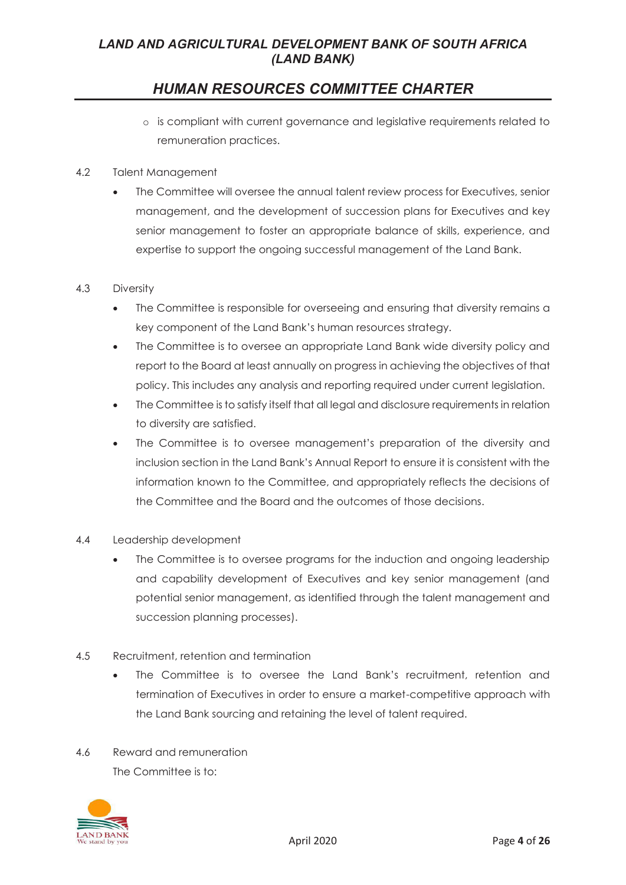# *HUMAN RESOURCES COMMITTEE CHARTER*

- o is compliant with current governance and legislative requirements related to remuneration practices.
- 4.2 Talent Management
	- The Committee will oversee the annual talent review process for Executives, senior management, and the development of succession plans for Executives and key senior management to foster an appropriate balance of skills, experience, and expertise to support the ongoing successful management of the Land Bank.

#### 4.3 Diversity

- The Committee is responsible for overseeing and ensuring that diversity remains a key component of the Land Bank's human resources strategy.
- The Committee is to oversee an appropriate Land Bank wide diversity policy and report to the Board at least annually on progress in achieving the objectives of that policy. This includes any analysis and reporting required under current legislation.
- The Committee is to satisfy itself that all legal and disclosure requirements in relation to diversity are satisfied.
- The Committee is to oversee management's preparation of the diversity and inclusion section in the Land Bank's Annual Report to ensure it is consistent with the information known to the Committee, and appropriately reflects the decisions of the Committee and the Board and the outcomes of those decisions.
- 4.4 Leadership development
	- The Committee is to oversee programs for the induction and ongoing leadership and capability development of Executives and key senior management (and potential senior management, as identified through the talent management and succession planning processes).
- 4.5 Recruitment, retention and termination
	- The Committee is to oversee the Land Bank's recruitment, retention and termination of Executives in order to ensure a market-competitive approach with the Land Bank sourcing and retaining the level of talent required.
- 4.6 Reward and remuneration The Committee is to:

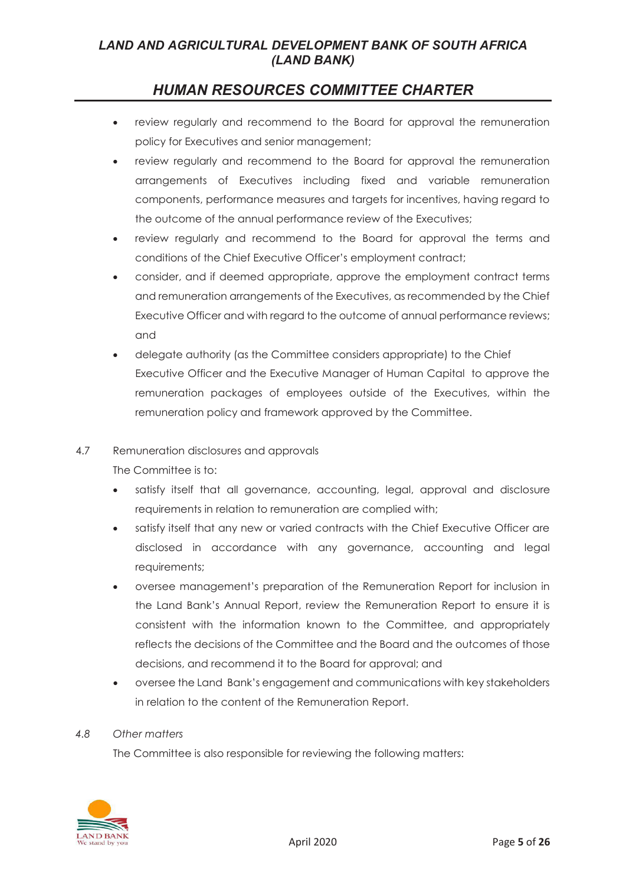# *HUMAN RESOURCES COMMITTEE CHARTER*

- review regularly and recommend to the Board for approval the remuneration policy for Executives and senior management;
- review regularly and recommend to the Board for approval the remuneration arrangements of Executives including fixed and variable remuneration components, performance measures and targets for incentives, having regard to the outcome of the annual performance review of the Executives;
- review regularly and recommend to the Board for approval the terms and conditions of the Chief Executive Officer's employment contract;
- consider, and if deemed appropriate, approve the employment contract terms and remuneration arrangements of the Executives, as recommended by the Chief Executive Officer and with regard to the outcome of annual performance reviews; and
- delegate authority (as the Committee considers appropriate) to the Chief Executive Officer and the Executive Manager of Human Capital to approve the remuneration packages of employees outside of the Executives, within the remuneration policy and framework approved by the Committee.

#### 4.7 Remuneration disclosures and approvals

The Committee is to:

- satisfy itself that all governance, accounting, legal, approval and disclosure requirements in relation to remuneration are complied with;
- satisfy itself that any new or varied contracts with the Chief Executive Officer are disclosed in accordance with any governance, accounting and legal requirements;
- oversee management's preparation of the Remuneration Report for inclusion in the Land Bank's Annual Report, review the Remuneration Report to ensure it is consistent with the information known to the Committee, and appropriately reflects the decisions of the Committee and the Board and the outcomes of those decisions, and recommend it to the Board for approval; and
- oversee the Land Bank's engagement and communications with key stakeholders in relation to the content of the Remuneration Report.

#### *4.8 Other matters*

The Committee is also responsible for reviewing the following matters:

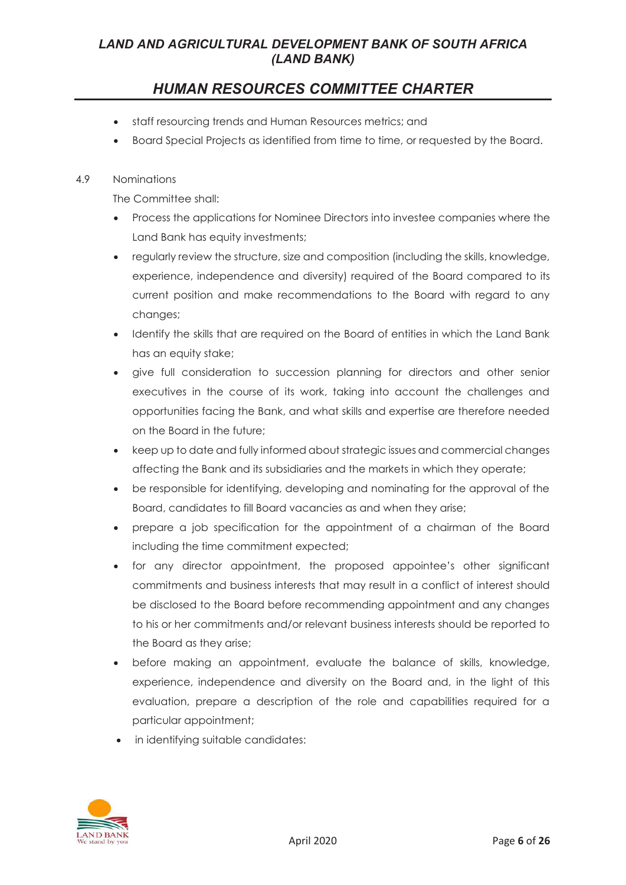# *HUMAN RESOURCES COMMITTEE CHARTER*

- staff resourcing trends and Human Resources metrics; and
- Board Special Projects as identified from time to time, or requested by the Board.

#### 4.9 Nominations

The Committee shall:

- Process the applications for Nominee Directors into investee companies where the Land Bank has equity investments;
- regularly review the structure, size and composition (including the skills, knowledge, experience, independence and diversity) required of the Board compared to its current position and make recommendations to the Board with regard to any changes;
- Identify the skills that are required on the Board of entities in which the Land Bank has an equity stake;
- give full consideration to succession planning for directors and other senior executives in the course of its work, taking into account the challenges and opportunities facing the Bank, and what skills and expertise are therefore needed on the Board in the future;
- keep up to date and fully informed about strategic issues and commercial changes affecting the Bank and its subsidiaries and the markets in which they operate;
- be responsible for identifying, developing and nominating for the approval of the Board, candidates to fill Board vacancies as and when they arise;
- prepare a job specification for the appointment of a chairman of the Board including the time commitment expected;
- for any director appointment, the proposed appointee's other significant commitments and business interests that may result in a conflict of interest should be disclosed to the Board before recommending appointment and any changes to his or her commitments and/or relevant business interests should be reported to the Board as they arise;
- before making an appointment, evaluate the balance of skills, knowledge, experience, independence and diversity on the Board and, in the light of this evaluation, prepare a description of the role and capabilities required for a particular appointment;
- in identifying suitable candidates:

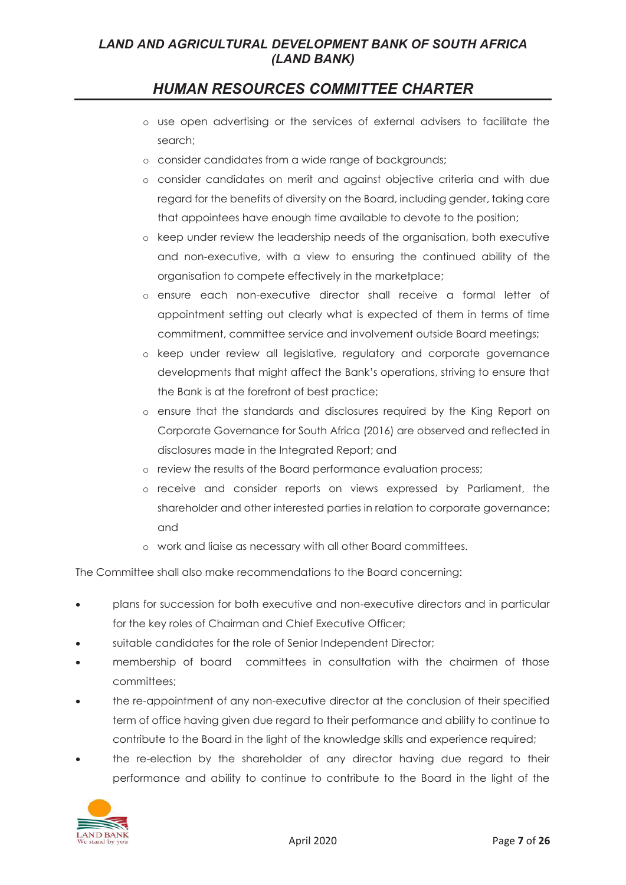# *HUMAN RESOURCES COMMITTEE CHARTER*

- o use open advertising or the services of external advisers to facilitate the search;
- o consider candidates from a wide range of backgrounds;
- o consider candidates on merit and against objective criteria and with due regard for the benefits of diversity on the Board, including gender, taking care that appointees have enough time available to devote to the position;
- o keep under review the leadership needs of the organisation, both executive and non-executive, with a view to ensuring the continued ability of the organisation to compete effectively in the marketplace;
- o ensure each non-executive director shall receive a formal letter of appointment setting out clearly what is expected of them in terms of time commitment, committee service and involvement outside Board meetings;
- o keep under review all legislative, regulatory and corporate governance developments that might affect the Bank's operations, striving to ensure that the Bank is at the forefront of best practice;
- o ensure that the standards and disclosures required by the King Report on Corporate Governance for South Africa (2016) are observed and reflected in disclosures made in the Integrated Report; and
- o review the results of the Board performance evaluation process;
- o receive and consider reports on views expressed by Parliament, the shareholder and other interested parties in relation to corporate governance; and
- o work and liaise as necessary with all other Board committees.

The Committee shall also make recommendations to the Board concerning:

- plans for succession for both executive and non-executive directors and in particular for the key roles of Chairman and Chief Executive Officer;
- suitable candidates for the role of Senior Independent Director;
- membership of board committees in consultation with the chairmen of those committees;
- the re-appointment of any non-executive director at the conclusion of their specified term of office having given due regard to their performance and ability to continue to contribute to the Board in the light of the knowledge skills and experience required;
- the re-election by the shareholder of any director having due regard to their performance and ability to continue to contribute to the Board in the light of the

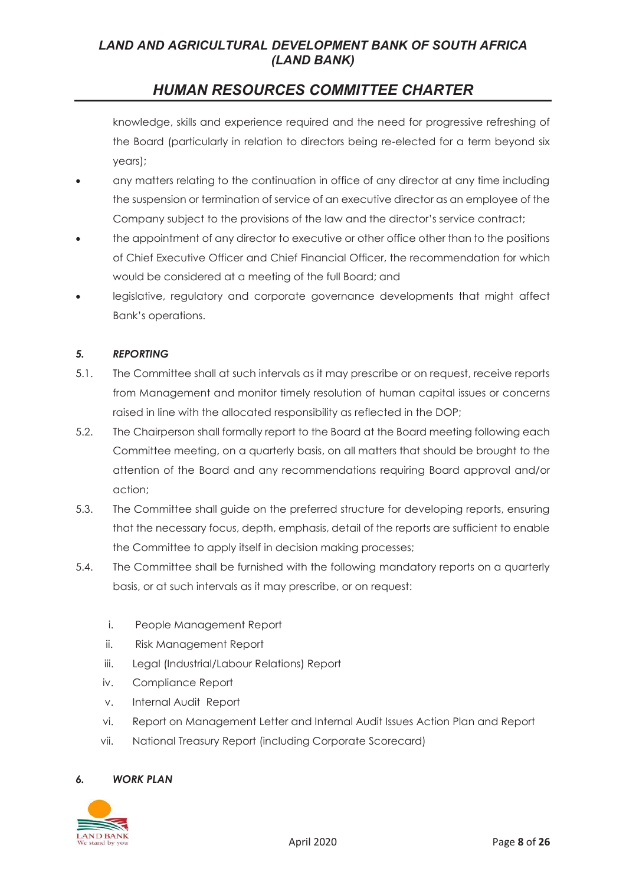# *HUMAN RESOURCES COMMITTEE CHARTER*

knowledge, skills and experience required and the need for progressive refreshing of the Board (particularly in relation to directors being re-elected for a term beyond six years);

- any matters relating to the continuation in office of any director at any time including the suspension or termination of service of an executive director as an employee of the Company subject to the provisions of the law and the director's service contract;
- the appointment of any director to executive or other office other than to the positions of Chief Executive Officer and Chief Financial Officer, the recommendation for which would be considered at a meeting of the full Board; and
- legislative, regulatory and corporate governance developments that might affect Bank's operations.

#### *5. REPORTING*

- 5.1. The Committee shall at such intervals as it may prescribe or on request, receive reports from Management and monitor timely resolution of human capital issues or concerns raised in line with the allocated responsibility as reflected in the DOP;
- 5.2. The Chairperson shall formally report to the Board at the Board meeting following each Committee meeting, on a quarterly basis, on all matters that should be brought to the attention of the Board and any recommendations requiring Board approval and/or action;
- 5.3. The Committee shall guide on the preferred structure for developing reports, ensuring that the necessary focus, depth, emphasis, detail of the reports are sufficient to enable the Committee to apply itself in decision making processes;
- 5.4. The Committee shall be furnished with the following mandatory reports on a quarterly basis, or at such intervals as it may prescribe, or on request:
	- i. People Management Report
	- ii. Risk Management Report
	- iii. Legal (Industrial/Labour Relations) Report
	- iv. Compliance Report
	- v. Internal Audit Report
	- vi. Report on Management Letter and Internal Audit Issues Action Plan and Report
	- vii. National Treasury Report (including Corporate Scorecard)

#### *6. WORK PLAN*

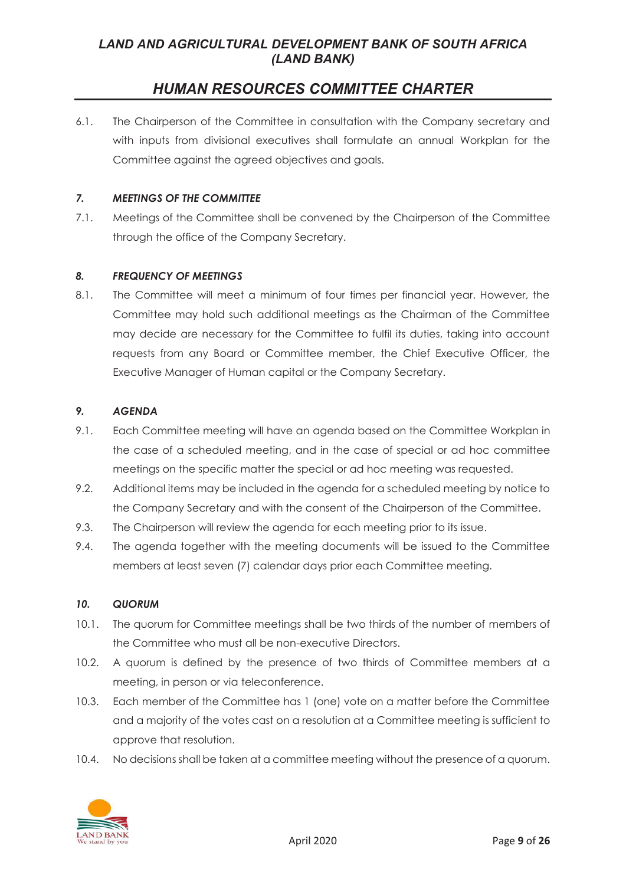# *HUMAN RESOURCES COMMITTEE CHARTER*

6.1. The Chairperson of the Committee in consultation with the Company secretary and with inputs from divisional executives shall formulate an annual Workplan for the Committee against the agreed objectives and goals.

### *7. MEETINGS OF THE COMMITTEE*

7.1. Meetings of the Committee shall be convened by the Chairperson of the Committee through the office of the Company Secretary.

#### *8. FREQUENCY OF MEETINGS*

8.1. The Committee will meet a minimum of four times per financial year. However, the Committee may hold such additional meetings as the Chairman of the Committee may decide are necessary for the Committee to fulfil its duties, taking into account requests from any Board or Committee member, the Chief Executive Officer, the Executive Manager of Human capital or the Company Secretary.

#### *9. AGENDA*

- 9.1. Each Committee meeting will have an agenda based on the Committee Workplan in the case of a scheduled meeting, and in the case of special or ad hoc committee meetings on the specific matter the special or ad hoc meeting was requested.
- 9.2. Additional items may be included in the agenda for a scheduled meeting by notice to the Company Secretary and with the consent of the Chairperson of the Committee.
- 9.3. The Chairperson will review the agenda for each meeting prior to its issue.
- 9.4. The agenda together with the meeting documents will be issued to the Committee members at least seven (7) calendar days prior each Committee meeting.

#### *10. QUORUM*

- 10.1. The quorum for Committee meetings shall be two thirds of the number of members of the Committee who must all be non-executive Directors.
- 10.2. A quorum is defined by the presence of two thirds of Committee members at a meeting, in person or via teleconference.
- 10.3. Each member of the Committee has 1 (one) vote on a matter before the Committee and a majority of the votes cast on a resolution at a Committee meeting is sufficient to approve that resolution.
- 10.4. No decisions shall be taken at a committee meeting without the presence of a quorum.

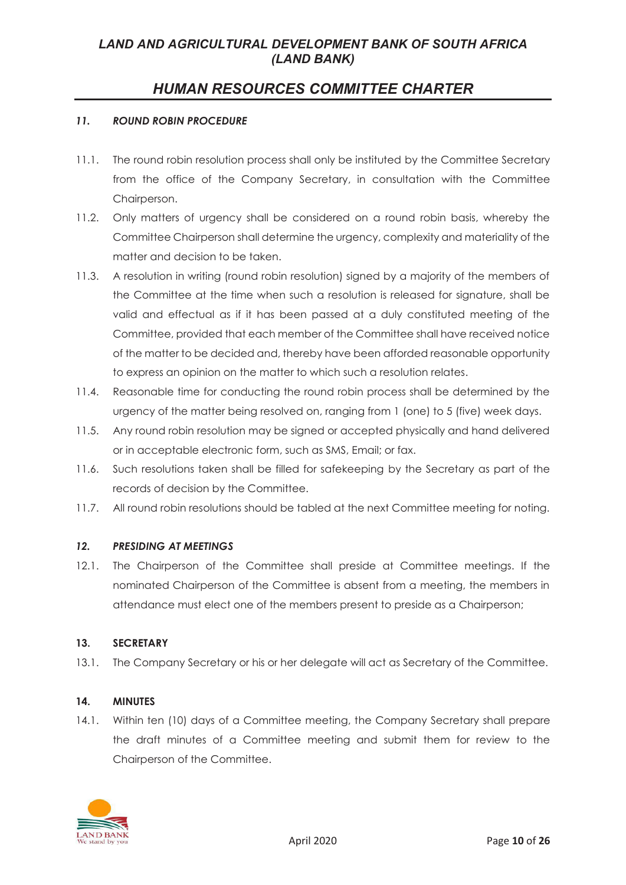# *HUMAN RESOURCES COMMITTEE CHARTER*

#### *11. ROUND ROBIN PROCEDURE*

- 11.1. The round robin resolution process shall only be instituted by the Committee Secretary from the office of the Company Secretary, in consultation with the Committee Chairperson.
- 11.2. Only matters of urgency shall be considered on a round robin basis, whereby the Committee Chairperson shall determine the urgency, complexity and materiality of the matter and decision to be taken.
- 11.3. A resolution in writing (round robin resolution) signed by a majority of the members of the Committee at the time when such a resolution is released for signature, shall be valid and effectual as if it has been passed at a duly constituted meeting of the Committee, provided that each member of the Committee shall have received notice of the matter to be decided and, thereby have been afforded reasonable opportunity to express an opinion on the matter to which such a resolution relates.
- 11.4. Reasonable time for conducting the round robin process shall be determined by the urgency of the matter being resolved on, ranging from 1 (one) to 5 (five) week days.
- 11.5. Any round robin resolution may be signed or accepted physically and hand delivered or in acceptable electronic form, such as SMS, Email; or fax.
- 11.6. Such resolutions taken shall be filled for safekeeping by the Secretary as part of the records of decision by the Committee.
- 11.7. All round robin resolutions should be tabled at the next Committee meeting for noting.

#### *12. PRESIDING AT MEETINGS*

12.1. The Chairperson of the Committee shall preside at Committee meetings. If the nominated Chairperson of the Committee is absent from a meeting, the members in attendance must elect one of the members present to preside as a Chairperson;

#### **13. SECRETARY**

13.1. The Company Secretary or his or her delegate will act as Secretary of the Committee.

#### **14. MINUTES**

14.1. Within ten (10) days of a Committee meeting, the Company Secretary shall prepare the draft minutes of a Committee meeting and submit them for review to the Chairperson of the Committee.

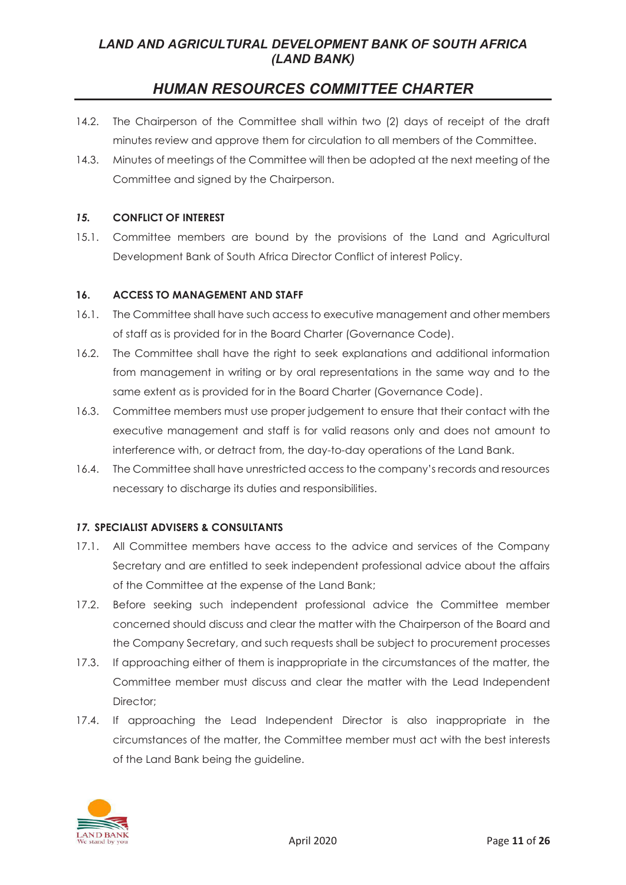# *HUMAN RESOURCES COMMITTEE CHARTER*

- 14.2. The Chairperson of the Committee shall within two (2) days of receipt of the draft minutes review and approve them for circulation to all members of the Committee.
- 14.3. Minutes of meetings of the Committee will then be adopted at the next meeting of the Committee and signed by the Chairperson.

### *15.* **CONFLICT OF INTEREST**

15.1. Committee members are bound by the provisions of the Land and Agricultural Development Bank of South Africa Director Conflict of interest Policy.

#### **16. ACCESS TO MANAGEMENT AND STAFF**

- 16.1. The Committee shall have such access to executive management and other members of staff as is provided for in the Board Charter (Governance Code).
- 16.2. The Committee shall have the right to seek explanations and additional information from management in writing or by oral representations in the same way and to the same extent as is provided for in the Board Charter (Governance Code).
- 16.3. Committee members must use proper judgement to ensure that their contact with the executive management and staff is for valid reasons only and does not amount to interference with, or detract from, the day-to-day operations of the Land Bank.
- 16.4. The Committee shall have unrestricted access to the company's records and resources necessary to discharge its duties and responsibilities.

### *17.* **SPECIALIST ADVISERS & CONSULTANTS**

- 17.1. All Committee members have access to the advice and services of the Company Secretary and are entitled to seek independent professional advice about the affairs of the Committee at the expense of the Land Bank;
- 17.2. Before seeking such independent professional advice the Committee member concerned should discuss and clear the matter with the Chairperson of the Board and the Company Secretary, and such requests shall be subject to procurement processes
- 17.3. If approaching either of them is inappropriate in the circumstances of the matter, the Committee member must discuss and clear the matter with the Lead Independent Director:
- 17.4. If approaching the Lead Independent Director is also inappropriate in the circumstances of the matter, the Committee member must act with the best interests of the Land Bank being the guideline.

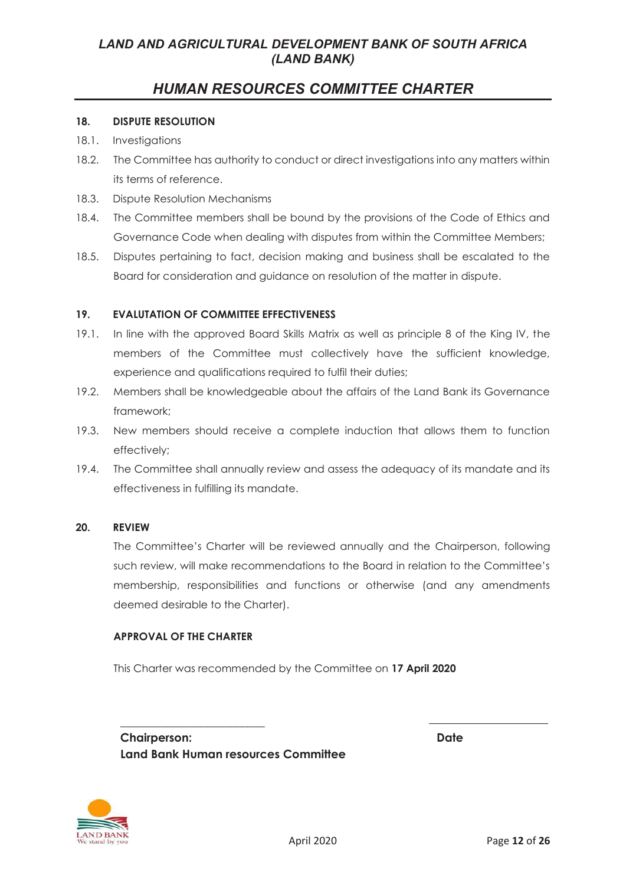# *HUMAN RESOURCES COMMITTEE CHARTER*

#### **18. DISPUTE RESOLUTION**

- 18.1. Investigations
- 18.2. The Committee has authority to conduct or direct investigations into any matters within its terms of reference.
- 18.3. Dispute Resolution Mechanisms
- 18.4. The Committee members shall be bound by the provisions of the Code of Ethics and Governance Code when dealing with disputes from within the Committee Members;
- 18.5. Disputes pertaining to fact, decision making and business shall be escalated to the Board for consideration and guidance on resolution of the matter in dispute.

#### **19. EVALUTATION OF COMMITTEE EFFECTIVENESS**

- 19.1. In line with the approved Board Skills Matrix as well as principle 8 of the King IV, the members of the Committee must collectively have the sufficient knowledge, experience and qualifications required to fulfil their duties;
- 19.2. Members shall be knowledgeable about the affairs of the Land Bank its Governance framework;
- 19.3. New members should receive a complete induction that allows them to function effectively;
- 19.4. The Committee shall annually review and assess the adequacy of its mandate and its effectiveness in fulfilling its mandate.

#### **20. REVIEW**

The Committee's Charter will be reviewed annually and the Chairperson, following such review, will make recommendations to the Board in relation to the Committee's membership, responsibilities and functions or otherwise (and any amendments deemed desirable to the Charter).

#### **APPROVAL OF THE CHARTER**

**\_\_\_\_\_\_\_\_\_\_\_\_\_\_\_\_\_\_\_\_\_\_\_\_\_** 

This Charter was recommended by the Committee on **17 April 2020**

**Chairperson: Date Land Bank Human resources Committee**

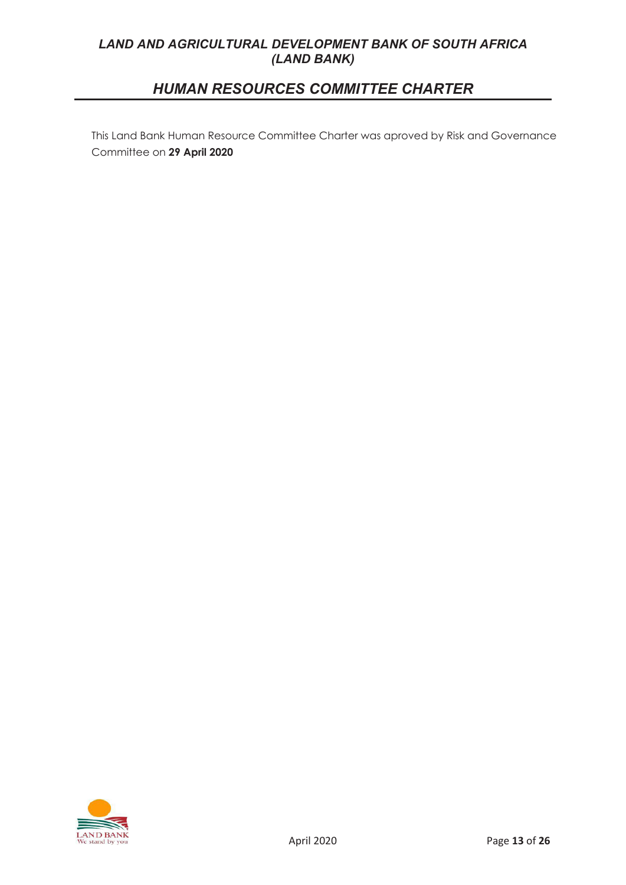# *HUMAN RESOURCES COMMITTEE CHARTER*

Governance Committee on **29 April 2020** This Land Bank Human Resource Committee Charter was aproved by Risk and Governance Committee on **29 April 2020**

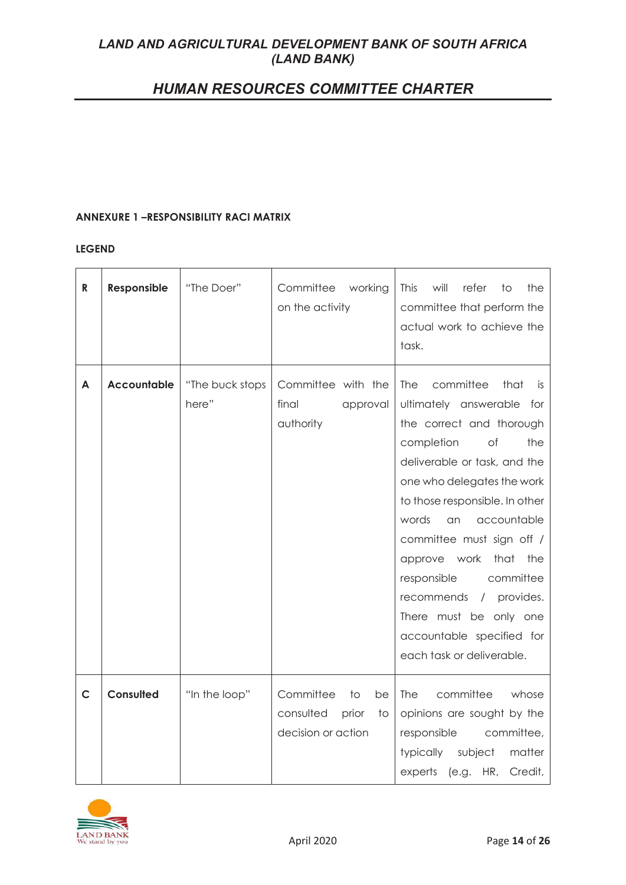# *HUMAN RESOURCES COMMITTEE CHARTER*

#### **ANNEXURE 1 –RESPONSIBILITY RACI MATRIX**

#### **LEGEND**

| $\mathsf{R}$ | Responsible        | "The Doer"               | Committee<br>working<br>on the activity                                                          | This<br>will<br>refer<br>the<br>to<br>committee that perform the<br>actual work to achieve the<br>task.                                                                                                                                                                                                                                                                                                                                                     |
|--------------|--------------------|--------------------------|--------------------------------------------------------------------------------------------------|-------------------------------------------------------------------------------------------------------------------------------------------------------------------------------------------------------------------------------------------------------------------------------------------------------------------------------------------------------------------------------------------------------------------------------------------------------------|
| A            | <b>Accountable</b> | "The buck stops<br>here" | Committee with the<br>final<br>approval<br>authority                                             | <b>The</b><br>committee<br>that<br>is.<br>ultimately answerable for<br>the correct and thorough<br>completion<br>of<br>the<br>deliverable or task, and the<br>one who delegates the work<br>to those responsible. In other<br>words<br>accountable<br>an<br>committee must sign off /<br>approve work that the<br>committee<br>responsible<br>recommends<br>/ provides.<br>There must be only one<br>accountable specified for<br>each task or deliverable. |
| $\mathsf{C}$ | Consulted          | "In the loop"            | Committee<br>$\overline{10}$<br>be<br>consulted<br>prior<br>$\overline{1}$<br>decision or action | committee<br><b>The</b><br>whose<br>opinions are sought by the<br>responsible<br>committee,<br>subject<br>typically<br>matter<br>experts (e.g. HR, Credit,                                                                                                                                                                                                                                                                                                  |

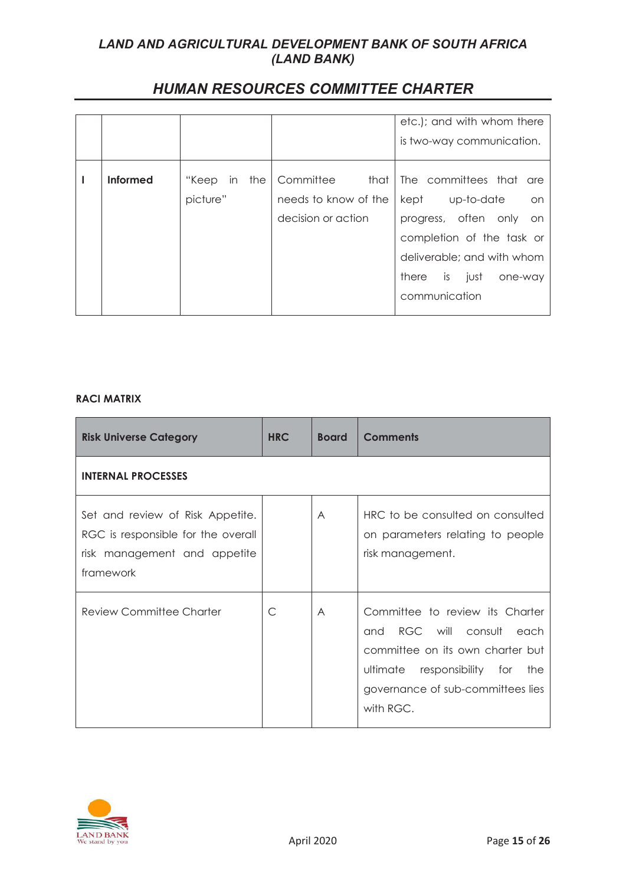|  | <b>HUMAN RESOURCES COMMITTEE CHARTER</b> |
|--|------------------------------------------|
|--|------------------------------------------|

|                 |                    |                      | etc.); and with whom there |
|-----------------|--------------------|----------------------|----------------------------|
|                 |                    |                      | is two-way communication.  |
| <b>Informed</b> | "Кеер<br>the<br>in | Committee<br>that    | The committees that are    |
|                 | picture"           | needs to know of the | kept<br>up-to-date<br>on   |
|                 |                    | decision or action   | progress, often only on    |
|                 |                    |                      | completion of the task or  |
|                 |                    |                      | deliverable; and with whom |
|                 |                    |                      | there is just<br>one-way   |
|                 |                    |                      | communication              |

### **RACI MATRIX**

| <b>Risk Universe Category</b>                                                                                       | <b>HRC</b> | <b>Board</b> | <b>Comments</b>                                                                                                                                                                       |  |  |  |
|---------------------------------------------------------------------------------------------------------------------|------------|--------------|---------------------------------------------------------------------------------------------------------------------------------------------------------------------------------------|--|--|--|
| <b>INTERNAL PROCESSES</b>                                                                                           |            |              |                                                                                                                                                                                       |  |  |  |
| Set and review of Risk Appetite.<br>RGC is responsible for the overall<br>risk management and appetite<br>framework |            | A            | HRC to be consulted on consulted<br>on parameters relating to people<br>risk management.                                                                                              |  |  |  |
| <b>Review Committee Charter</b>                                                                                     | C          | A            | Committee to review its Charter<br>and RGC will consult each<br>committee on its own charter but<br>ultimate responsibility for the<br>governance of sub-committees lies<br>with RGC. |  |  |  |

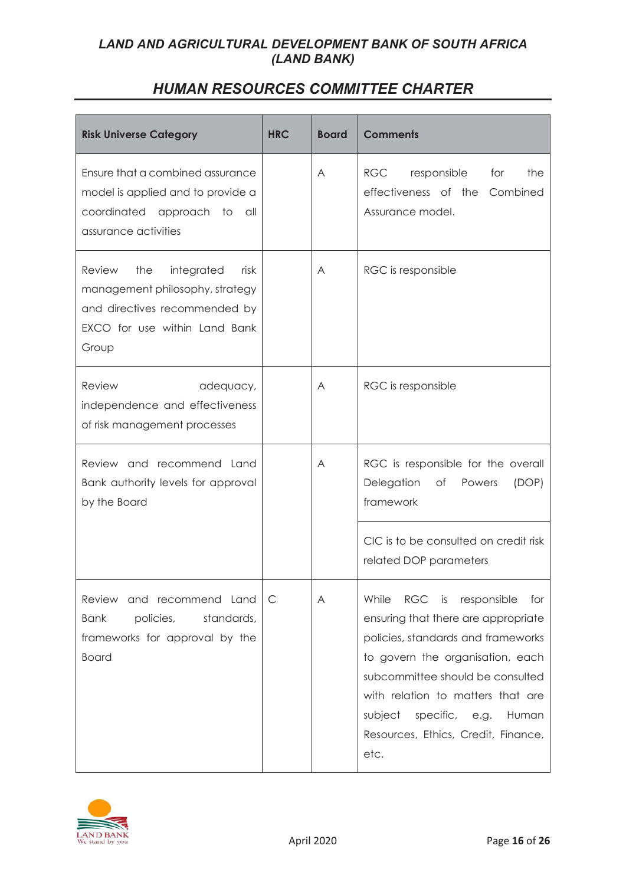| <b>Risk Universe Category</b>                                                                                                                            | <b>HRC</b> | <b>Board</b> | <b>Comments</b>                                                                                                                                                                                                                                                                                                                |
|----------------------------------------------------------------------------------------------------------------------------------------------------------|------------|--------------|--------------------------------------------------------------------------------------------------------------------------------------------------------------------------------------------------------------------------------------------------------------------------------------------------------------------------------|
| Ensure that a combined assurance<br>model is applied and to provide a<br>coordinated approach to all<br>assurance activities                             |            | A            | RGC<br>responsible<br>for<br>the<br>effectiveness of the Combined<br>Assurance model.                                                                                                                                                                                                                                          |
| <b>Review</b><br>the<br>integrated<br>risk<br>management philosophy, strategy<br>and directives recommended by<br>EXCO for use within Land Bank<br>Group |            | A            | RGC is responsible                                                                                                                                                                                                                                                                                                             |
| Review<br>adequacy,<br>independence and effectiveness<br>of risk management processes                                                                    |            | A            | RGC is responsible                                                                                                                                                                                                                                                                                                             |
| Review and recommend Land<br>Bank authority levels for approval<br>by the Board                                                                          |            | A            | RGC is responsible for the overall<br>Delegation<br>(DOP)<br>of Powers<br>framework                                                                                                                                                                                                                                            |
|                                                                                                                                                          |            |              | CIC is to be consulted on credit risk<br>related DOP parameters                                                                                                                                                                                                                                                                |
| Review and recommend Land<br>policies,<br>standards,<br><b>Bank</b><br>frameworks for approval by the<br><b>Board</b>                                    | C          | A            | While<br><b>RGC</b><br>responsible<br>is<br>for<br>ensuring that there are appropriate<br>policies, standards and frameworks<br>to govern the organisation, each<br>subcommittee should be consulted<br>with relation to matters that are<br>specific, e.g.<br>subject<br>Human<br>Resources, Ethics, Credit, Finance,<br>etc. |

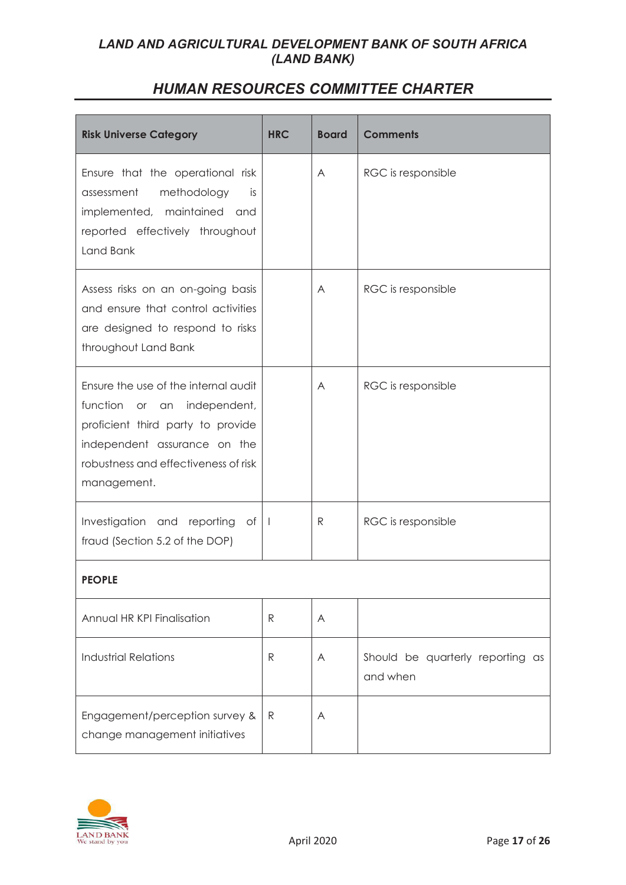| <b>Risk Universe Category</b>                                                                                                                                                                   | <b>HRC</b>   | <b>Board</b> | <b>Comments</b>                              |
|-------------------------------------------------------------------------------------------------------------------------------------------------------------------------------------------------|--------------|--------------|----------------------------------------------|
| Ensure that the operational risk<br>assessment<br>methodology<br>is.<br>implemented, maintained and<br>reported effectively throughout<br>Land Bank                                             |              | A            | RGC is responsible                           |
| Assess risks on an on-going basis<br>and ensure that control activities<br>are designed to respond to risks<br>throughout Land Bank                                                             |              | A            | RGC is responsible                           |
| Ensure the use of the internal audit<br>function or an independent,<br>proficient third party to provide<br>independent assurance on the<br>robustness and effectiveness of risk<br>management. |              | A            | RGC is responsible                           |
| Investigation and reporting of<br>fraud (Section 5.2 of the DOP)                                                                                                                                | $\perp$      | R            | RGC is responsible                           |
| <b>PEOPLE</b>                                                                                                                                                                                   |              |              |                                              |
| Annual HR KPI Finalisation                                                                                                                                                                      | $\mathsf{R}$ | A            |                                              |
| <b>Industrial Relations</b>                                                                                                                                                                     | $\mathsf{R}$ | A            | Should be quarterly reporting as<br>and when |
| Engagement/perception survey &<br>change management initiatives                                                                                                                                 | $\mathsf{R}$ | A            |                                              |

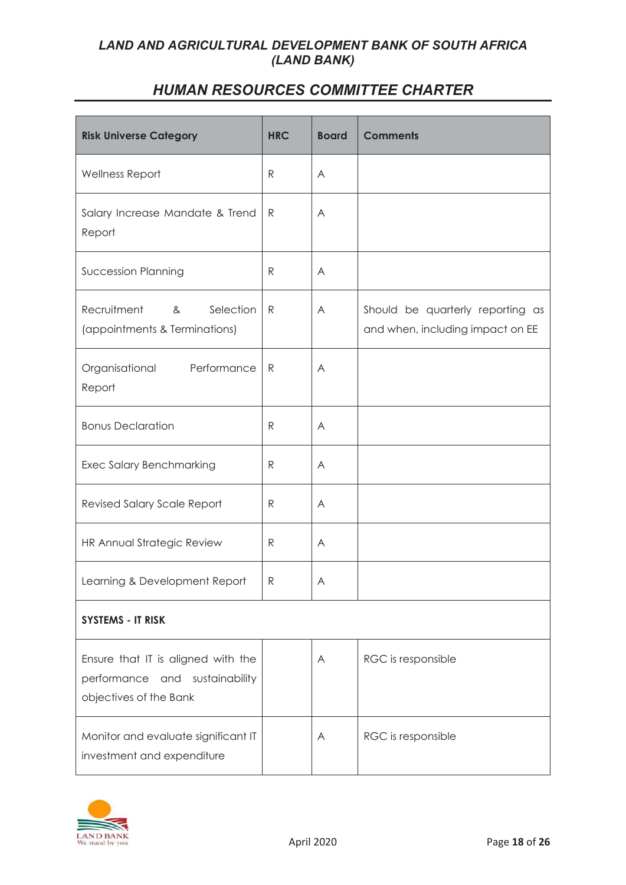| <b>Risk Universe Category</b>                                                                  | <b>HRC</b>   | <b>Board</b> | <b>Comments</b>                                                      |
|------------------------------------------------------------------------------------------------|--------------|--------------|----------------------------------------------------------------------|
| Wellness Report                                                                                | R            | A            |                                                                      |
| Salary Increase Mandate & Trend<br>Report                                                      | $\mathsf{R}$ | A            |                                                                      |
| <b>Succession Planning</b>                                                                     | R            | A            |                                                                      |
| Recruitment<br>Selection<br>&<br>(appointments & Terminations)                                 | $\mathsf{R}$ | A            | Should be quarterly reporting as<br>and when, including impact on EE |
| Performance<br>Organisational<br>Report                                                        | R            | A            |                                                                      |
| <b>Bonus Declaration</b>                                                                       | R            | A            |                                                                      |
| <b>Exec Salary Benchmarking</b>                                                                | $\mathsf{R}$ | A            |                                                                      |
| <b>Revised Salary Scale Report</b>                                                             | R            | A            |                                                                      |
| HR Annual Strategic Review                                                                     | $\mathsf{R}$ | A            |                                                                      |
| Learning & Development Report                                                                  | $\mathsf{R}$ | A            |                                                                      |
| SYSTEMS - IT RISK                                                                              |              |              |                                                                      |
| Ensure that IT is aligned with the<br>performance and sustainability<br>objectives of the Bank |              | A            | RGC is responsible                                                   |
| Monitor and evaluate significant IT<br>investment and expenditure                              |              | A            | RGC is responsible                                                   |

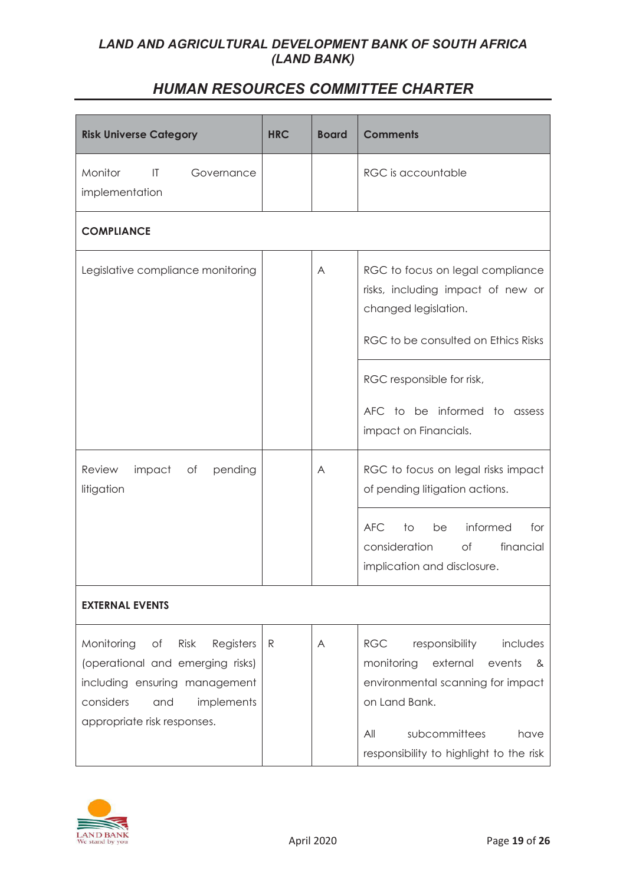| <b>Risk Universe Category</b>                                                                                                                                               | <b>HRC</b>   | <b>Board</b> | <b>Comments</b>                                                                                                                                                                                                    |
|-----------------------------------------------------------------------------------------------------------------------------------------------------------------------------|--------------|--------------|--------------------------------------------------------------------------------------------------------------------------------------------------------------------------------------------------------------------|
| Monitor<br>$\mathsf{I}\mathsf{T}$<br>Governance<br>implementation                                                                                                           |              |              | RGC is accountable                                                                                                                                                                                                 |
| <b>COMPLIANCE</b>                                                                                                                                                           |              |              |                                                                                                                                                                                                                    |
| Legislative compliance monitoring                                                                                                                                           |              | A            | RGC to focus on legal compliance<br>risks, including impact of new or<br>changed legislation.<br>RGC to be consulted on Ethics Risks                                                                               |
|                                                                                                                                                                             |              |              | RGC responsible for risk,<br>AFC to be informed to assess<br>impact on Financials.                                                                                                                                 |
| impact<br>Review<br>Оf<br>pending<br>litigation                                                                                                                             |              | A            | RGC to focus on legal risks impact<br>of pending litigation actions.                                                                                                                                               |
|                                                                                                                                                                             |              |              | informed<br>AFC<br>to<br>be<br>for<br>financial<br>consideration<br>of the control of the control of the control of the control of the control of the control of the control of th<br>implication and disclosure.  |
| <b>EXTERNAL EVENTS</b>                                                                                                                                                      |              |              |                                                                                                                                                                                                                    |
| Monitoring<br>Risk<br>Оf<br>Registers<br>(operational and emerging risks)<br>including ensuring management<br>considers<br>implements<br>and<br>appropriate risk responses. | $\mathsf{R}$ | A            | responsibility<br>includes<br><b>RGC</b><br>monitoring<br>external<br>events<br>&<br>environmental scanning for impact<br>on Land Bank.<br>subcommittees<br>All<br>have<br>responsibility to highlight to the risk |

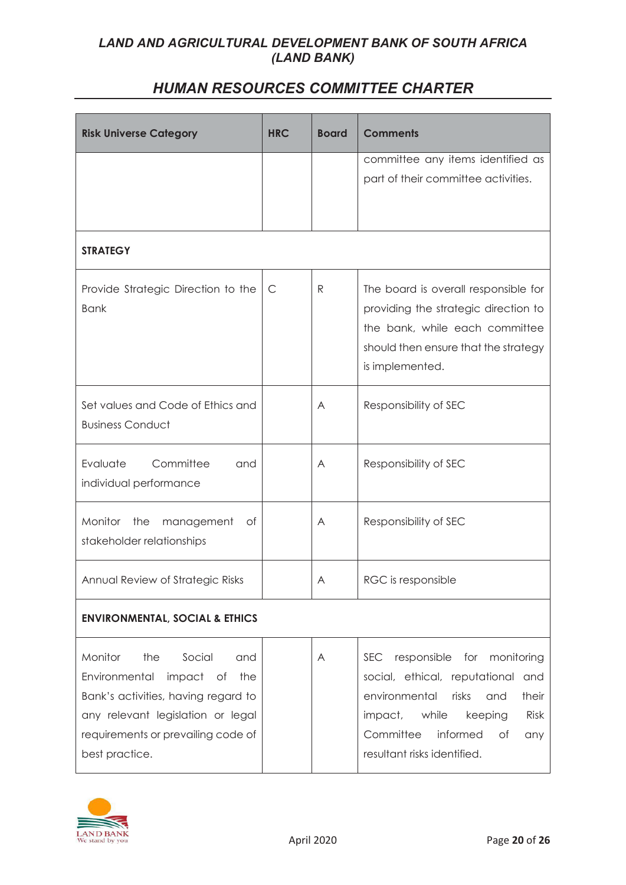| <b>Risk Universe Category</b>             | <b>HRC</b>   | <b>Board</b> | <b>Comments</b>                          |
|-------------------------------------------|--------------|--------------|------------------------------------------|
|                                           |              |              | committee any items identified as        |
|                                           |              |              | part of their committee activities.      |
|                                           |              |              |                                          |
|                                           |              |              |                                          |
| <b>STRATEGY</b>                           |              |              |                                          |
| Provide Strategic Direction to the        | $\mathsf{C}$ | $\mathsf{R}$ | The board is overall responsible for     |
| <b>Bank</b>                               |              |              | providing the strategic direction to     |
|                                           |              |              | the bank, while each committee           |
|                                           |              |              | should then ensure that the strategy     |
|                                           |              |              | is implemented.                          |
| Set values and Code of Ethics and         |              | A            | Responsibility of SEC                    |
| <b>Business Conduct</b>                   |              |              |                                          |
|                                           |              |              |                                          |
| Committee<br>Evaluate<br>and              |              | A            | Responsibility of SEC                    |
| individual performance                    |              |              |                                          |
| Monitor<br>the<br>management<br>of        |              | A            | Responsibility of SEC                    |
| stakeholder relationships                 |              |              |                                          |
|                                           |              |              |                                          |
| Annual Review of Strategic Risks          |              | Α            | RGC is responsible                       |
| <b>ENVIRONMENTAL, SOCIAL &amp; ETHICS</b> |              |              |                                          |
| Monitor<br>Social<br>the<br>and           |              | A            | responsible for monitoring<br><b>SEC</b> |
| Environmental<br>impact of<br>the         |              |              | social, ethical, reputational and        |
| Bank's activities, having regard to       |              |              | environmental<br>risks<br>their<br>and   |
| any relevant legislation or legal         |              |              | while<br>Risk<br>impact,<br>keeping      |
| requirements or prevailing code of        |              |              | Committee<br>informed<br>of<br>any       |
| best practice.                            |              |              | resultant risks identified.              |

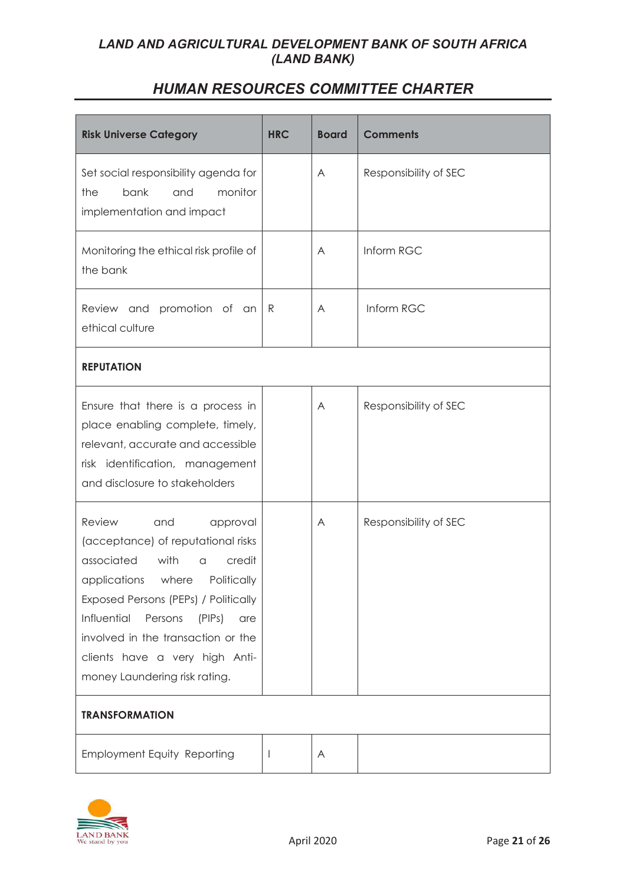| <b>Risk Universe Category</b>                                                                                                                                                                                                                                                                                                      | <b>HRC</b> | <b>Board</b> | <b>Comments</b>       |  |  |
|------------------------------------------------------------------------------------------------------------------------------------------------------------------------------------------------------------------------------------------------------------------------------------------------------------------------------------|------------|--------------|-----------------------|--|--|
| Set social responsibility agenda for<br>bank<br>monitor<br>the<br>and<br>implementation and impact                                                                                                                                                                                                                                 |            | A            | Responsibility of SEC |  |  |
| Monitoring the ethical risk profile of<br>the bank                                                                                                                                                                                                                                                                                 |            | A            | Inform RGC            |  |  |
| Review and promotion of an<br>ethical culture                                                                                                                                                                                                                                                                                      | R          | A            | Inform RGC            |  |  |
| <b>REPUTATION</b>                                                                                                                                                                                                                                                                                                                  |            |              |                       |  |  |
| Ensure that there is a process in<br>place enabling complete, timely,<br>relevant, accurate and accessible<br>risk identification, management<br>and disclosure to stakeholders                                                                                                                                                    |            | A            | Responsibility of SEC |  |  |
| Review<br>and<br>approval<br>(acceptance) of reputational risks<br>associated<br>with<br>credit<br>a<br>applications where Politically<br>Exposed Persons (PEPs) / Politically<br>Influential<br>Persons<br>(PIPs)<br>are<br>involved in the transaction or the<br>clients have a very high Anti-<br>money Laundering risk rating. |            | A            | Responsibility of SEC |  |  |
| <b>TRANSFORMATION</b>                                                                                                                                                                                                                                                                                                              |            |              |                       |  |  |
| <b>Employment Equity Reporting</b>                                                                                                                                                                                                                                                                                                 | <b>I</b>   | A            |                       |  |  |

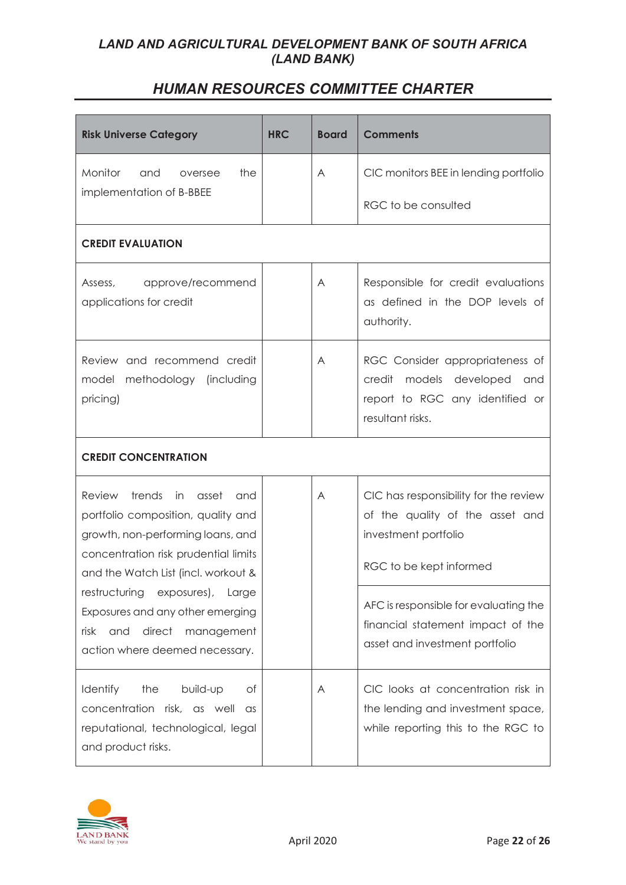| <b>Risk Universe Category</b>                                                                                                                                                                                                                                                                                                                                    | <b>HRC</b> | <b>Board</b> | <b>Comments</b>                                                                                                                                                                                                                             |  |  |
|------------------------------------------------------------------------------------------------------------------------------------------------------------------------------------------------------------------------------------------------------------------------------------------------------------------------------------------------------------------|------------|--------------|---------------------------------------------------------------------------------------------------------------------------------------------------------------------------------------------------------------------------------------------|--|--|
| Monitor<br>and<br>the<br>oversee                                                                                                                                                                                                                                                                                                                                 |            | A            | CIC monitors BEE in lending portfolio                                                                                                                                                                                                       |  |  |
| implementation of B-BBEE                                                                                                                                                                                                                                                                                                                                         |            |              | RGC to be consulted                                                                                                                                                                                                                         |  |  |
| <b>CREDIT EVALUATION</b>                                                                                                                                                                                                                                                                                                                                         |            |              |                                                                                                                                                                                                                                             |  |  |
| approve/recommend<br>Assess,<br>applications for credit                                                                                                                                                                                                                                                                                                          |            | A            | Responsible for credit evaluations<br>as defined in the DOP levels of<br>authority.                                                                                                                                                         |  |  |
| Review and recommend credit<br>model<br>methodology (including<br>pricing)                                                                                                                                                                                                                                                                                       |            | A            | RGC Consider appropriateness of<br>credit<br>models developed<br>and<br>report to RGC any identified or<br>resultant risks.                                                                                                                 |  |  |
| <b>CREDIT CONCENTRATION</b>                                                                                                                                                                                                                                                                                                                                      |            |              |                                                                                                                                                                                                                                             |  |  |
| <b>Review</b><br>trends<br>in in<br>asset<br>and<br>portfolio composition, quality and<br>growth, non-performing loans, and<br>concentration risk prudential limits<br>and the Watch List (incl. workout &<br>restructuring<br>exposures),<br>Large<br>Exposures and any other emerging<br>direct<br>risk<br>and<br>management<br>action where deemed necessary. |            | A            | CIC has responsibility for the review<br>of the quality of the asset and<br>investment portfolio<br>RGC to be kept informed<br>AFC is responsible for evaluating the<br>financial statement impact of the<br>asset and investment portfolio |  |  |
| Identify<br>the<br>build-up<br>Οf<br>concentration risk, as well<br>$\alpha$ s<br>reputational, technological, legal<br>and product risks.                                                                                                                                                                                                                       |            | A            | CIC looks at concentration risk in<br>the lending and investment space,<br>while reporting this to the RGC to                                                                                                                               |  |  |

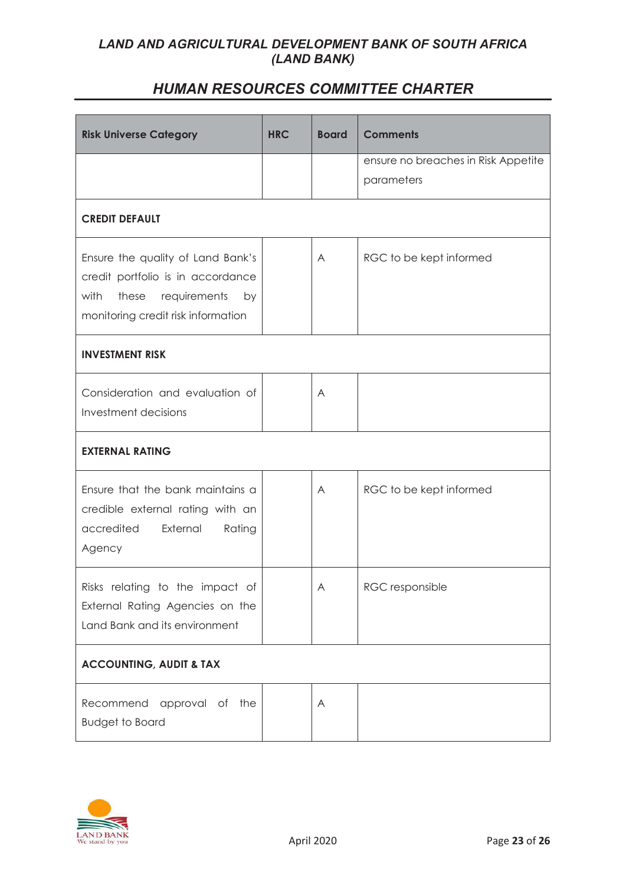| <b>Risk Universe Category</b>                                                                                                                       | <b>HRC</b> | <b>Board</b> | <b>Comments</b>                                   |  |  |
|-----------------------------------------------------------------------------------------------------------------------------------------------------|------------|--------------|---------------------------------------------------|--|--|
|                                                                                                                                                     |            |              | ensure no breaches in Risk Appetite<br>parameters |  |  |
| <b>CREDIT DEFAULT</b>                                                                                                                               |            |              |                                                   |  |  |
| Ensure the quality of Land Bank's<br>credit portfolio is in accordance<br>with<br>these<br>requirements<br>by<br>monitoring credit risk information |            | A            | RGC to be kept informed                           |  |  |
| <b>INVESTMENT RISK</b>                                                                                                                              |            |              |                                                   |  |  |
| Consideration and evaluation of<br>Investment decisions                                                                                             |            | A            |                                                   |  |  |
| <b>EXTERNAL RATING</b>                                                                                                                              |            |              |                                                   |  |  |
| Ensure that the bank maintains a<br>credible external rating with an<br>accredited<br>External<br>Rating<br>Agency                                  |            | A            | RGC to be kept informed                           |  |  |
| Risks relating to the impact of<br>External Rating Agencies on the<br>Land Bank and its environment                                                 |            | A            | RGC responsible                                   |  |  |
| <b>ACCOUNTING, AUDIT &amp; TAX</b>                                                                                                                  |            |              |                                                   |  |  |
| Recommend approval of the<br><b>Budget to Board</b>                                                                                                 |            | A            |                                                   |  |  |

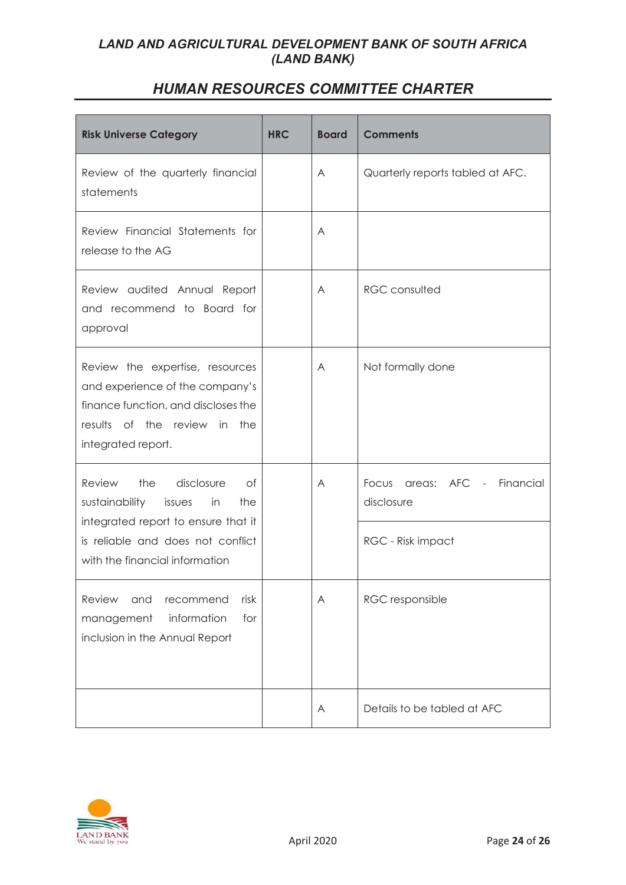| <b>Risk Universe Category</b>                                                                                                                                                                   | <b>HRC</b> | <b>Board</b> | <b>Comments</b>                                                       |
|-------------------------------------------------------------------------------------------------------------------------------------------------------------------------------------------------|------------|--------------|-----------------------------------------------------------------------|
| Review of the quarterly financial<br>statements                                                                                                                                                 |            | A            | Quarterly reports tabled at AFC.                                      |
| Review Financial Statements for<br>release to the AG                                                                                                                                            |            | A            |                                                                       |
| Review audited Annual Report<br>and recommend to Board for<br>approval                                                                                                                          |            | A            | <b>RGC</b> consulted                                                  |
| Review the expertise, resources<br>and experience of the company's<br>finance function, and discloses the<br>results of the review in the<br>integrated report.                                 |            | A            | Not formally done                                                     |
| the<br>disclosure<br><b>Review</b><br>Οf<br>sustainability<br>in<br>the<br>issues<br>integrated report to ensure that it<br>is reliable and does not conflict<br>with the financial information |            | A            | areas: AFC -<br>Financial<br>Focus<br>disclosure<br>RGC - Risk impact |
| Review<br>and<br>recommend<br>risk<br>information<br>for<br>management<br>inclusion in the Annual Report                                                                                        |            | A            | RGC responsible                                                       |
|                                                                                                                                                                                                 |            | A            | Details to be tabled at AFC                                           |

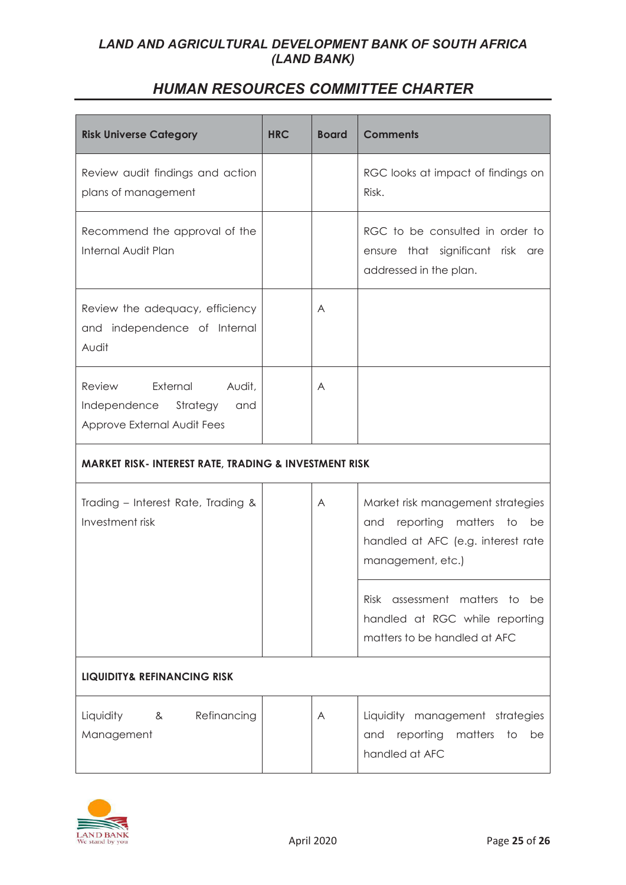| <b>Risk Universe Category</b>                                                                      | <b>HRC</b> | <b>Board</b> | <b>Comments</b>                                                                                                                      |  |
|----------------------------------------------------------------------------------------------------|------------|--------------|--------------------------------------------------------------------------------------------------------------------------------------|--|
| Review audit findings and action<br>plans of management                                            |            |              | RGC looks at impact of findings on<br>Risk.                                                                                          |  |
| Recommend the approval of the<br>Internal Audit Plan                                               |            |              | RGC to be consulted in order to<br>ensure that significant risk are<br>addressed in the plan.                                        |  |
| Review the adequacy, efficiency<br>and independence of Internal<br>Audit                           |            | A            |                                                                                                                                      |  |
| External<br><b>Review</b><br>Audit,<br>Independence Strategy<br>and<br>Approve External Audit Fees |            | A            |                                                                                                                                      |  |
| <b>MARKET RISK- INTEREST RATE, TRADING &amp; INVESTMENT RISK</b>                                   |            |              |                                                                                                                                      |  |
| Trading - Interest Rate, Trading &<br>Investment risk                                              |            | A            | Market risk management strategies<br>and reporting<br>matters<br>to<br>be<br>handled at AFC (e.g. interest rate<br>management, etc.) |  |
|                                                                                                    |            |              | Risk assessment matters to be<br>handled at RGC while reporting<br>matters to be handled at AFC                                      |  |
| <b>LIQUIDITY&amp; REFINANCING RISK</b>                                                             |            |              |                                                                                                                                      |  |
| Liquidity<br>Refinancing<br>8 <sub>1</sub><br>Management                                           |            | A            | Liquidity management strategies<br>and reporting<br>matters<br>to<br>be<br>handled at AFC                                            |  |